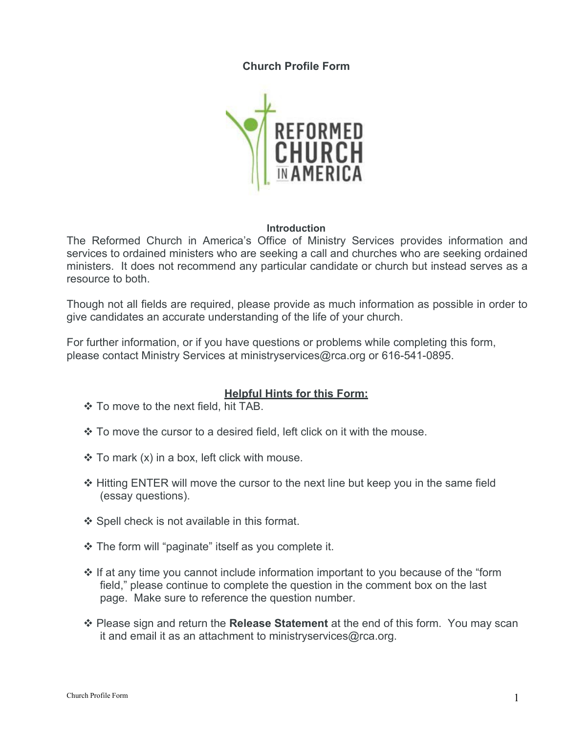**Church Profile Form**



#### **Introduction**

The Reformed Church in America's Office of Ministry Services provides information and services to ordained ministers who are seeking a call and churches who are seeking ordained ministers. It does not recommend any particular candidate or church but instead serves as a resource to both.

Though not all fields are required, please provide as much information as possible in order to give candidates an accurate understanding of the life of your church.

For further information, or if you have questions or problems while completing this form, please contact Ministry Services at ministryservices@rca.org or 616-541-0895.

## **Helpful Hints for this Form:**

- To move to the next field, hit TAB.
- $\cdot$  To move the cursor to a desired field, left click on it with the mouse.
- $\div$  To mark (x) in a box, left click with mouse.
- Hitting ENTER will move the cursor to the next line but keep you in the same field (essay questions).
- ❖ Spell check is not available in this format.
- The form will "paginate" itself as you complete it.
- $\cdot$  If at any time you cannot include information important to you because of the "form" field," please continue to complete the question in the comment box on the last page. Make sure to reference the question number.
- Please sign and return the **Release Statement** at the end of this form. You may scan it and email it as an attachment to ministryservices@rca.org.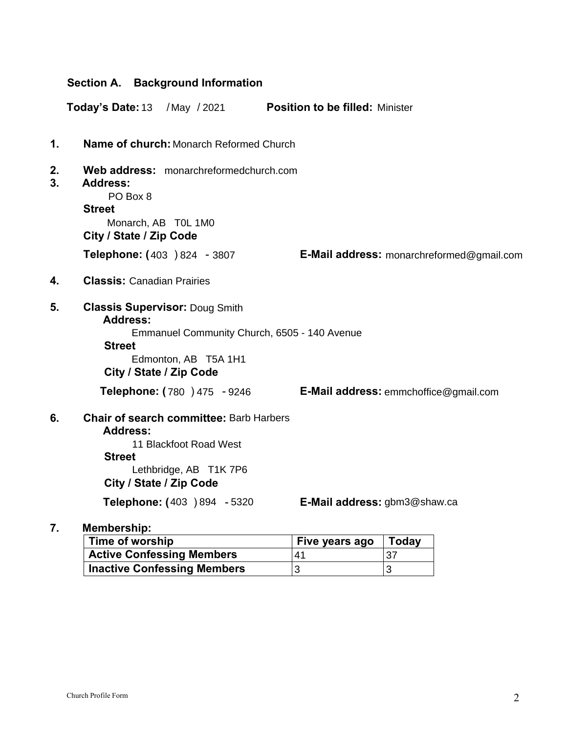|          | Section A. Background Information                                                                                                                                            |                                           |  |
|----------|------------------------------------------------------------------------------------------------------------------------------------------------------------------------------|-------------------------------------------|--|
|          | Today's Date: 13<br>/May /2021                                                                                                                                               | <b>Position to be filled: Minister</b>    |  |
| 1.       | <b>Name of church: Monarch Reformed Church</b>                                                                                                                               |                                           |  |
| 2.<br>3. | Web address: monarchreformedchurch.com<br><b>Address:</b><br>PO Box 8<br><b>Street</b><br>Monarch, AB T0L 1M0<br>City / State / Zip Code                                     |                                           |  |
|          | Telephone: (403 ) 824 - 3807                                                                                                                                                 | E-Mail address: monarchreformed@gmail.com |  |
| 4.       | <b>Classis: Canadian Prairies</b>                                                                                                                                            |                                           |  |
| 5.       | <b>Classis Supervisor: Doug Smith</b><br><b>Address:</b><br>Emmanuel Community Church, 6505 - 140 Avenue<br><b>Street</b><br>Edmonton, AB T5A 1H1<br>City / State / Zip Code |                                           |  |
|          | <b>Telephone: (780 ) 475 - 9246</b>                                                                                                                                          | E-Mail address: emmchoffice@gmail.com     |  |
| 6.       | <b>Chair of search committee: Barb Harbers</b><br><b>Address:</b><br>11 Blackfoot Road West<br><b>Street</b><br>Lethbridge, AB T1K 7P6<br>City / State / Zip Code            |                                           |  |
|          | Telephone: (403 ) 894 - 5320                                                                                                                                                 | E-Mail address: gbm3@shaw.ca              |  |

## **7. Membership:**

| Time of worship                    | Five years ago | Today |
|------------------------------------|----------------|-------|
| <b>Active Confessing Members</b>   | 41             | 37    |
| <b>Inactive Confessing Members</b> |                |       |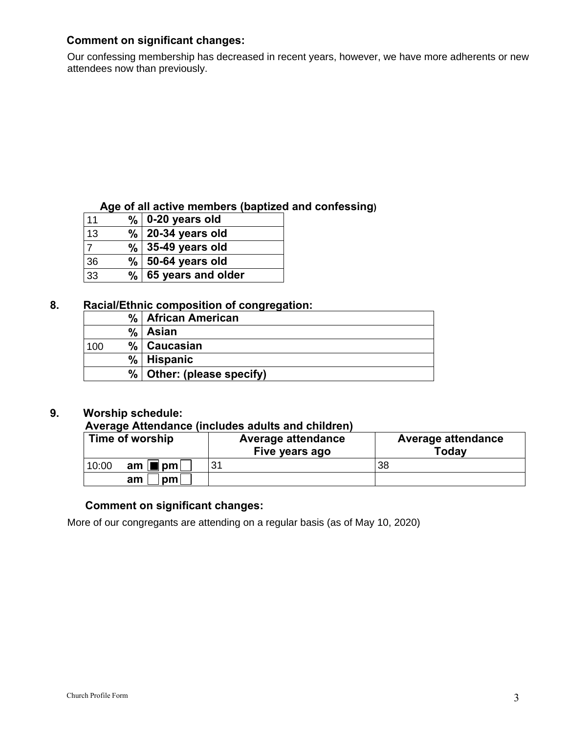## **Comment on significant changes:**

Our confessing membership has decreased in recent years, however, we have more adherents or new attendees now than previously.

## **Age of all active members (baptized and confessing)**

| 11 |      | $%$ 0-20 years old   |
|----|------|----------------------|
| 13 | $\%$ | 20-34 years old      |
|    |      | $\%$ 35-49 years old |
| 36 | %    | 50-64 years old      |
| 33 | %    | 65 years and older   |

## **8. Racial/Ethnic composition of congregation:**

## **9. Worship schedule:**

## **Average Attendance (includes adults and children)**

| Time of worship                 | <b>Average attendance</b><br>Five years ago | <b>Average attendance</b><br>Today |
|---------------------------------|---------------------------------------------|------------------------------------|
| 10:00<br>am $ \blacksquare $ pm | 31                                          | 38                                 |
| pm1<br>am                       |                                             |                                    |

## **Comment on significant changes:**

More of our congregants are attending on a regular basis (as of May 10, 2020)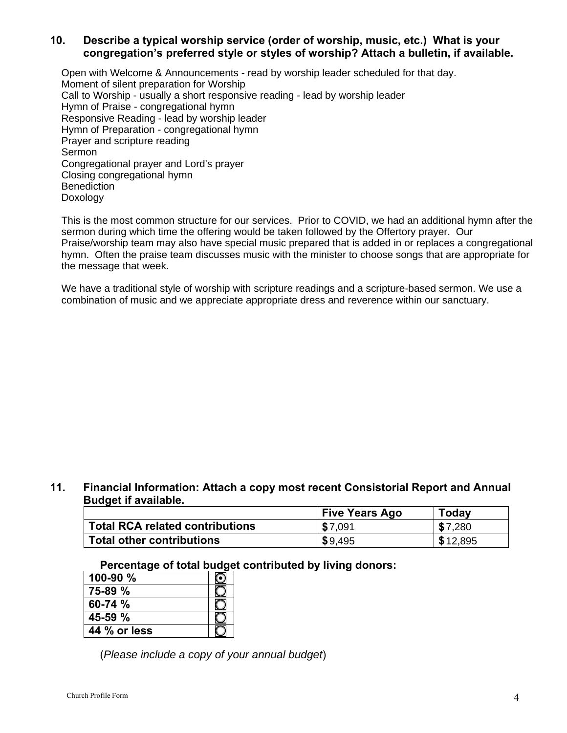## **10. Describe a typical worship service (order of worship, music, etc.) What is your congregation's preferred style or styles of worship? Attach a bulletin, if available.**

Open with Welcome & Announcements - read by worship leader scheduled for that day. Moment of silent preparation for Worship Call to Worship - usually a short responsive reading - lead by worship leader Hymn of Praise - congregational hymn Responsive Reading - lead by worship leader Hymn of Preparation - congregational hymn Prayer and scripture reading Sermon Congregational prayer and Lord's prayer Closing congregational hymn **Benediction** Doxology

This is the most common structure for our services. Prior to COVID, we had an additional hymn after the sermon during which time the offering would be taken followed by the Offertory prayer. Our Praise/worship team may also have special music prepared that is added in or replaces a congregational hymn. Often the praise team discusses music with the minister to choose songs that are appropriate for the message that week.

We have a traditional style of worship with scripture readings and a scripture-based sermon. We use a combination of music and we appreciate appropriate dress and reverence within our sanctuary.

#### **11. Financial Information: Attach a copy most recent Consistorial Report and Annual Budget if available.**

|                                        | <b>Five Years Ago</b> | Today    |
|----------------------------------------|-----------------------|----------|
| <b>Total RCA related contributions</b> | \$7,091               | \$7,280  |
| <b>Total other contributions</b>       | \$9,495               | \$12,895 |

#### **Percentage of total budget contributed by living donors:**

| $100 - 90 %$ |  |
|--------------|--|
| $75-89%$     |  |
| 60-74 %      |  |
| $45-59$ %    |  |
| 44 % or less |  |

(*Please include a copy of your annual budget*)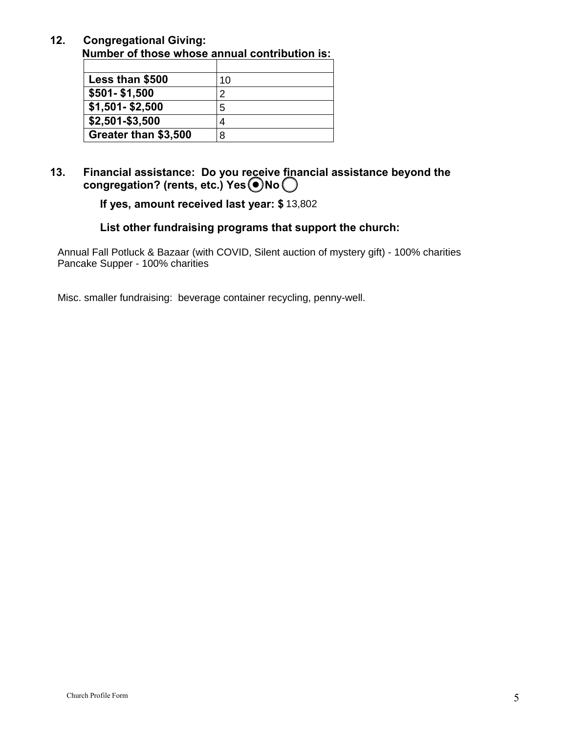**12. Congregational Giving: Number of those whose annual contribution is:**

| Less than \$500      | 10 |
|----------------------|----|
| \$501-\$1,500        |    |
| $$1,501 - $2,500$    |    |
| \$2,501-\$3,500      |    |
| Greater than \$3,500 |    |

**13. Financial assistance: Do you receive financial assistance beyond the**  congregation? (rents, etc.) Yes  $\bigcirc$  No $\bigcirc$ 

**If yes, amount received last year: \$** 13,802

## **List other fundraising programs that support the church:**

Annual Fall Potluck & Bazaar (with COVID, Silent auction of mystery gift) - 100% charities Pancake Supper - 100% charities

Misc. smaller fundraising: beverage container recycling, penny-well.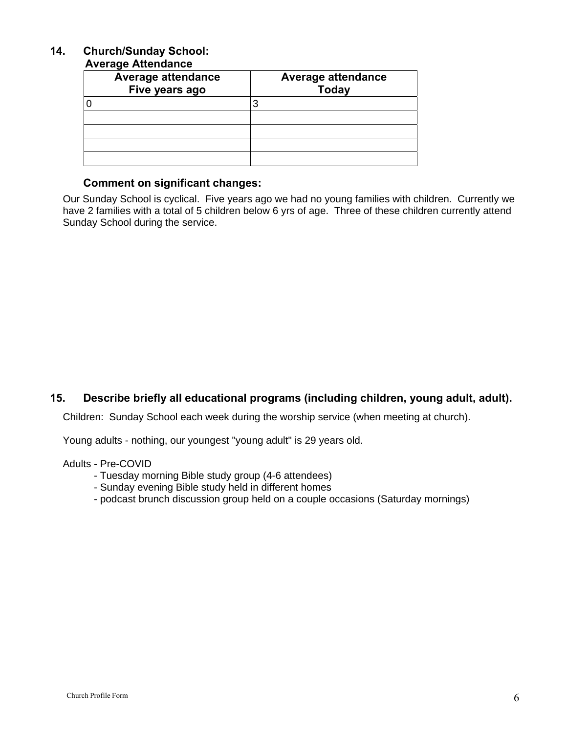## **14. Church/Sunday School:**

#### **Average Attendance**

| <b>Average attendance</b><br>Five years ago | <b>Average attendance</b><br><b>Today</b> |
|---------------------------------------------|-------------------------------------------|
|                                             |                                           |
|                                             |                                           |
|                                             |                                           |
|                                             |                                           |
|                                             |                                           |

### **Comment on significant changes:**

Our Sunday School is cyclical. Five years ago we had no young families with children. Currently we have 2 families with a total of 5 children below 6 yrs of age. Three of these children currently attend Sunday School during the service.

## **15. Describe briefly all educational programs (including children, young adult, adult).**

Children: Sunday School each week during the worship service (when meeting at church).

Young adults - nothing, our youngest "young adult" is 29 years old.

#### Adults - Pre-COVID

- Tuesday morning Bible study group (4-6 attendees)
- Sunday evening Bible study held in different homes
- podcast brunch discussion group held on a couple occasions (Saturday mornings)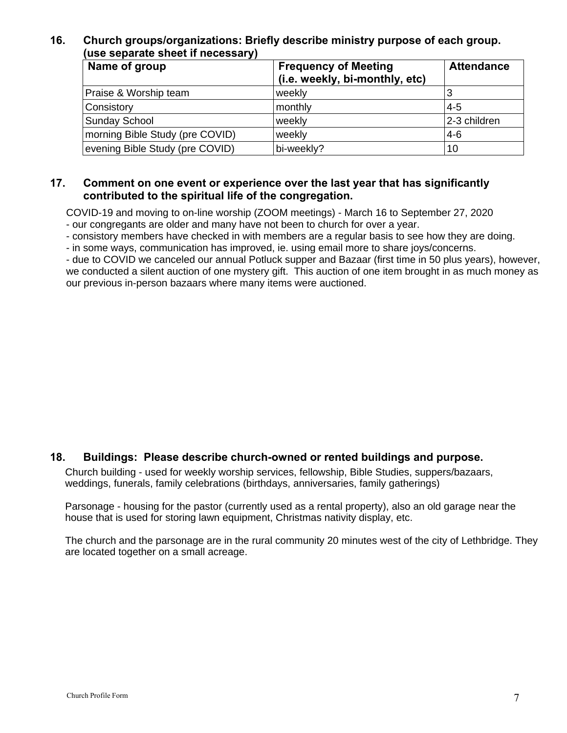## **16. Church groups/organizations: Briefly describe ministry purpose of each group. (use separate sheet if necessary)**

| Name of group                   | <b>Frequency of Meeting</b>    | <b>Attendance</b> |
|---------------------------------|--------------------------------|-------------------|
|                                 | (i.e. weekly, bi-monthly, etc) |                   |
| Praise & Worship team           | weekly                         | 3                 |
| Consistory                      | monthly                        | $4 - 5$           |
| <b>Sunday School</b>            | weekly                         | 2-3 children      |
| morning Bible Study (pre COVID) | weekly                         | $4-6$             |
| evening Bible Study (pre COVID) | bi-weekly?                     | 10                |

#### **17. Comment on one event or experience over the last year that has significantly contributed to the spiritual life of the congregation.**

COVID-19 and moving to on-line worship (ZOOM meetings) - March 16 to September 27, 2020 - our congregants are older and many have not been to church for over a year.

- consistory members have checked in with members are a regular basis to see how they are doing.

- in some ways, communication has improved, ie. using email more to share joys/concerns.

- due to COVID we canceled our annual Potluck supper and Bazaar (first time in 50 plus years), however, we conducted a silent auction of one mystery gift. This auction of one item brought in as much money as our previous in-person bazaars where many items were auctioned.

## **18. Buildings: Please describe church-owned or rented buildings and purpose.**

Church building - used for weekly worship services, fellowship, Bible Studies, suppers/bazaars, weddings, funerals, family celebrations (birthdays, anniversaries, family gatherings)

Parsonage - housing for the pastor (currently used as a rental property), also an old garage near the house that is used for storing lawn equipment, Christmas nativity display, etc.

The church and the parsonage are in the rural community 20 minutes west of the city of Lethbridge. They are located together on a small acreage.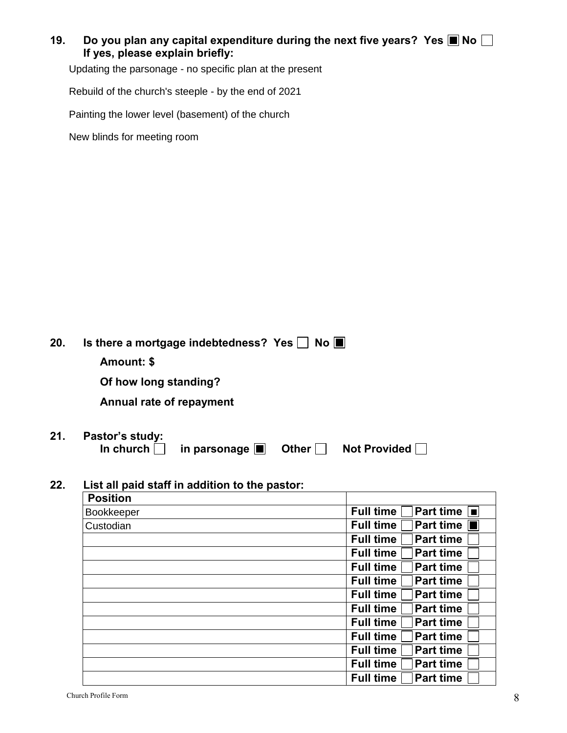## **19.** Do you plan any capital expenditure during the next five years? Yes **I**No  $\Box$ **If yes, please explain briefly:**

Updating the parsonage - no specific plan at the present

Rebuild of the church's steeple - by the end of 2021

Painting the lower level (basement) of the church

New blinds for meeting room

| Amount: \$                   |                             | $No \nightharpoonup$                              |                                              |
|------------------------------|-----------------------------|---------------------------------------------------|----------------------------------------------|
|                              |                             |                                                   |                                              |
| Pastor's study:<br>In church | in parsonage $\blacksquare$ | Other $\vert$                                     | <b>Not Provided</b>                          |
|                              |                             | Of how long standing?<br>Annual rate of repayment | Is there a mortgage indebtedness? Yes $\Box$ |

## **22. List all paid staff in addition to the pastor:**

| <b>Position</b> |                                              |
|-----------------|----------------------------------------------|
| Bookkeeper      | <b>Full time</b><br>Part time $\blacksquare$ |
| Custodian       | Part time $\blacksquare$<br><b>Full time</b> |
|                 | <b>Full time</b><br><b>Part time</b>         |
|                 | <b>Full time</b><br><b>Part time</b>         |
|                 | <b>Full time</b><br><b>Part time</b>         |
|                 | <b>Full time</b><br><b>Part time</b>         |
|                 | <b>Full time</b><br><b>Part time</b>         |
|                 | <b>Full time</b><br><b>Part time</b>         |
|                 | <b>Full time</b><br><b>Part time</b>         |
|                 | <b>Full time</b><br><b>Part time</b>         |
|                 | <b>Full time</b><br><b>Part time</b>         |
|                 | <b>Part time</b><br><b>Full time</b>         |
|                 | <b>Part time</b><br><b>Full time</b>         |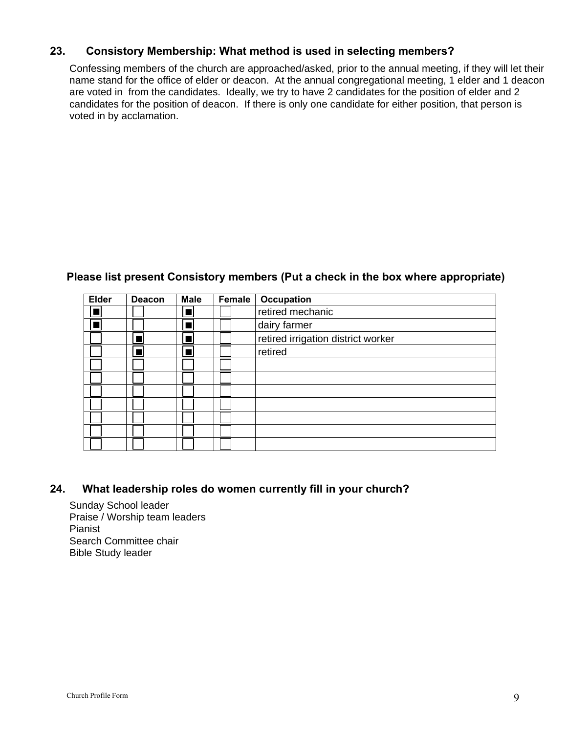## **23. Consistory Membership: What method is used in selecting members?**

Confessing members of the church are approached/asked, prior to the annual meeting, if they will let their name stand for the office of elder or deacon. At the annual congregational meeting, 1 elder and 1 deacon are voted in from the candidates. Ideally, we try to have 2 candidates for the position of elder and 2 candidates for the position of deacon. If there is only one candidate for either position, that person is voted in by acclamation.

#### **Please list present Consistory members (Put a check in the box where appropriate)**

| <b>Elder</b> | <b>Deacon</b> | <b>Male</b> | Female | <b>Occupation</b>                  |
|--------------|---------------|-------------|--------|------------------------------------|
|              |               |             |        | retired mechanic                   |
|              |               |             |        | dairy farmer                       |
|              |               |             |        | retired irrigation district worker |
|              |               |             |        | retired                            |
|              |               |             |        |                                    |
|              |               |             |        |                                    |
|              |               |             |        |                                    |
|              |               |             |        |                                    |
|              |               |             |        |                                    |
|              |               |             |        |                                    |
|              |               |             |        |                                    |

#### **24. What leadership roles do women currently fill in your church?**

Sunday School leader Praise / Worship team leaders Pianist Search Committee chair Bible Study leader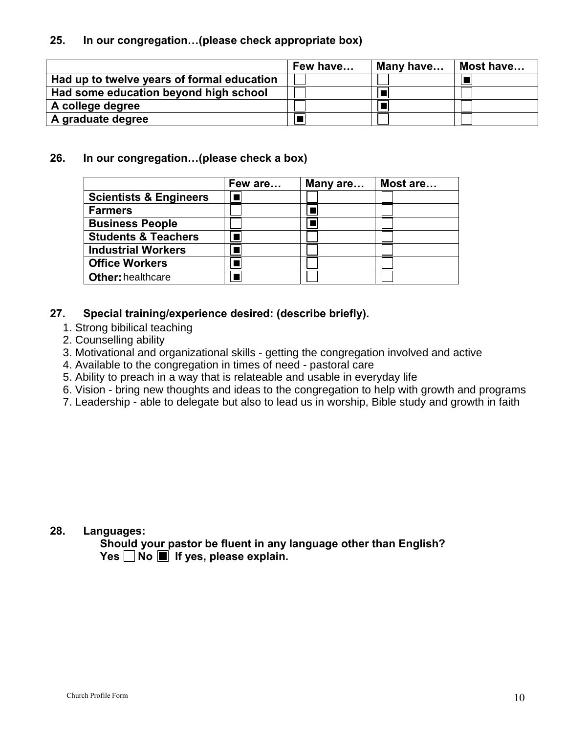## **25. In our congregation…(please check appropriate box)**

|                                            | Few have | Many have | Most have |
|--------------------------------------------|----------|-----------|-----------|
| Had up to twelve years of formal education |          |           |           |
| Had some education beyond high school      |          |           |           |
| A college degree                           |          |           |           |
| A graduate degree                          |          |           |           |

### **26. In our congregation…(please check a box)**

|                                   | Few are | Many are | Most are |
|-----------------------------------|---------|----------|----------|
| <b>Scientists &amp; Engineers</b> |         |          |          |
| <b>Farmers</b>                    |         |          |          |
| <b>Business People</b>            |         |          |          |
| <b>Students &amp; Teachers</b>    |         |          |          |
| <b>Industrial Workers</b>         |         |          |          |
| <b>Office Workers</b>             |         |          |          |
| <b>Other: healthcare</b>          |         |          |          |

## **27. Special training/experience desired: (describe briefly).**

- 1. Strong bibilical teaching
- 2. Counselling ability
- 3. Motivational and organizational skills getting the congregation involved and active
- 4. Available to the congregation in times of need pastoral care
- 5. Ability to preach in a way that is relateable and usable in everyday life
- 6. Vision bring new thoughts and ideas to the congregation to help with growth and programs
- 7. Leadership able to delegate but also to lead us in worship, Bible study and growth in faith

#### **28. Languages:**

**Should your pastor be fluent in any language other than English?**  Yes  $\Box$  No  $\Box$  If yes, please explain.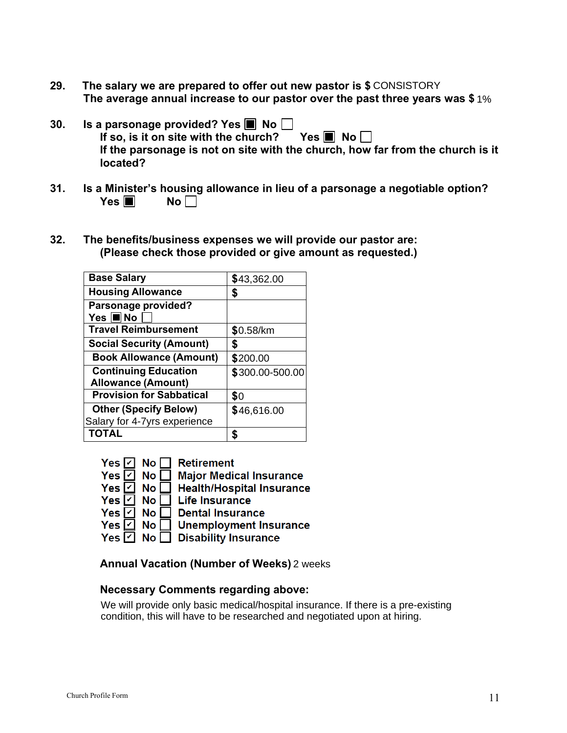- **29. The salary we are prepared to offer out new pastor is \$** CONSISTORY **The average annual increase to our pastor over the past three years was \$** 1%
- **30.** Is a parsonage provided? Yes **I** No  $\Box$ If so, is it on site with the church? Yes  $\blacksquare$  No **If the parsonage is not on site with the church, how far from the church is it located?**
- **31. Is a Minister's housing allowance in lieu of a parsonage a negotiable option?**  $Yes \blacksquare$  No $\square$
- **32. The benefits/business expenses we will provide our pastor are: (Please check those provided or give amount as requested.)**

| <b>Base Salary</b>              | \$43,362.00     |
|---------------------------------|-----------------|
| <b>Housing Allowance</b>        | \$              |
| Parsonage provided?             |                 |
| Yes $\blacksquare$ No           |                 |
| <b>Travel Reimbursement</b>     | \$0.58/km       |
| <b>Social Security (Amount)</b> | S               |
| <b>Book Allowance (Amount)</b>  | \$200.00        |
| <b>Continuing Education</b>     | \$300.00-500.00 |
| <b>Allowance (Amount)</b>       |                 |
| <b>Provision for Sabbatical</b> | \$0             |
| <b>Other (Specify Below)</b>    | \$46,616.00     |
| Salary for 4-7yrs experience    |                 |
| <b>TOTAL</b>                    |                 |



**Annual Vacation (Number of Weeks)** 

## **Necessary Comments regarding above:**

We will provide only basic medical/hospital insurance. If there is a pre-existing condition, this will have to be researched and negotiated upon at hiring.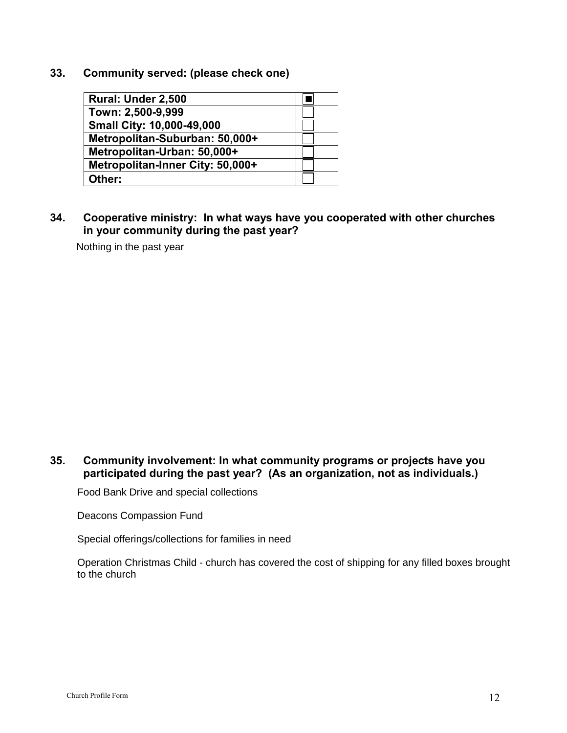**33. Community served: (please check one)**

| Rural: Under 2,500               |  |
|----------------------------------|--|
| Town: 2,500-9,999                |  |
| <b>Small City: 10,000-49,000</b> |  |
| Metropolitan-Suburban: 50,000+   |  |
| Metropolitan-Urban: 50,000+      |  |
| Metropolitan-Inner City: 50,000+ |  |
| Other:                           |  |

**34. Cooperative ministry: In what ways have you cooperated with other churches in your community during the past year?**

Nothing in the past year

## **35. Community involvement: In what community programs or projects have you participated during the past year? (As an organization, not as individuals.)**

Food Bank Drive and special collections

Deacons Compassion Fund

Special offerings/collections for families in need

Operation Christmas Child - church has covered the cost of shipping for any filled boxes brought to the church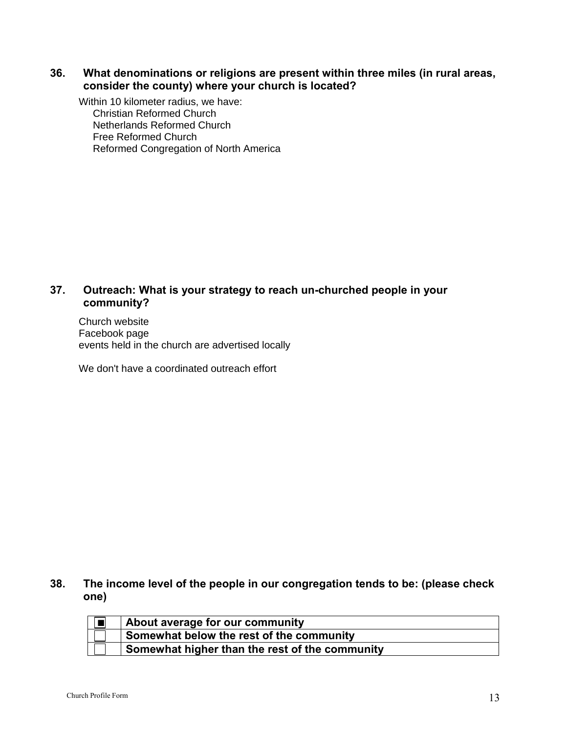## **36. What denominations or religions are present within three miles (in rural areas, consider the county) where your church is located?**

Within 10 kilometer radius, we have: Christian Reformed Church Netherlands Reformed Church Free Reformed Church Reformed Congregation of North America

## **37. Outreach: What is your strategy to reach un-churched people in your community?**

Church website Facebook page events held in the church are advertised locally

We don't have a coordinated outreach effort

## **38. The income level of the people in our congregation tends to be: (please check one)**

| About average for our community                |
|------------------------------------------------|
| Somewhat below the rest of the community       |
| Somewhat higher than the rest of the community |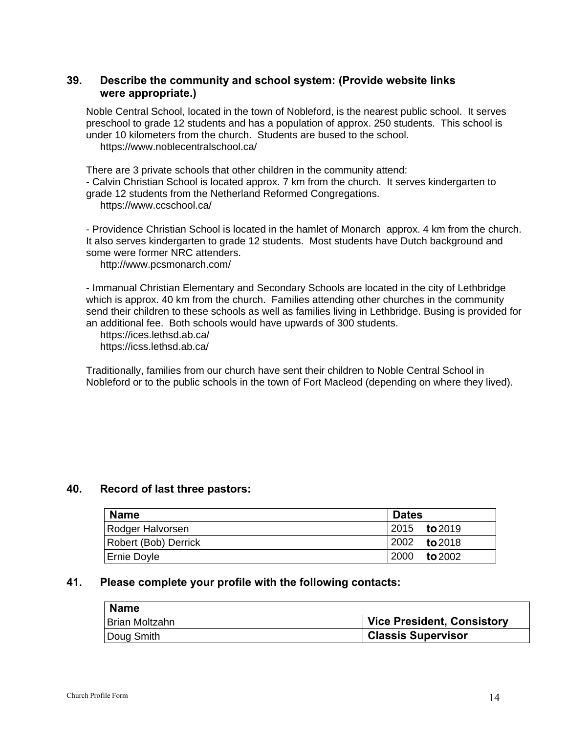## **39. Describe the community and school system: (Provide website links were appropriate.)**

Noble Central School, located in the town of Nobleford, is the nearest public school. It serves preschool to grade 12 students and has a population of approx. 250 students. This school is under 10 kilometers from the church. Students are bused to the school. https://www.noblecentralschool.ca/

There are 3 private schools that other children in the community attend: - Calvin Christian School is located approx. 7 km from the church. It serves kindergarten to grade 12 students from the Netherland Reformed Congregations. https://www.ccschool.ca/

- Providence Christian School is located in the hamlet of Monarch approx. 4 km from the church. It also serves kindergarten to grade 12 students. Most students have Dutch background and some were former NRC attenders.

http://www.pcsmonarch.com/

- Immanual Christian Elementary and Secondary Schools are located in the city of Lethbridge which is approx. 40 km from the church. Families attending other churches in the community send their children to these schools as well as families living in Lethbridge. Busing is provided for an additional fee. Both schools would have upwards of 300 students.

 https://ices.lethsd.ab.ca/ https://icss.lethsd.ab.ca/

Traditionally, families from our church have sent their children to Noble Central School in Nobleford or to the public schools in the town of Fort Macleod (depending on where they lived).

#### **40. Record of last three pastors:**

| <b>Name</b>          | <b>Dates</b>         |
|----------------------|----------------------|
| Rodger Halvorsen     | 12015 <b>to</b> 2019 |
| Robert (Bob) Derrick | $12002$ to 2018      |
| <b>Ernie Doyle</b>   | 2000 to 2002         |

#### **41. Please complete your profile with the following contacts:**

| <b>Name</b>    |                            |
|----------------|----------------------------|
| Brian Moltzahn | Vice President, Consistory |
| Doug Smith     | Classis Supervisor         |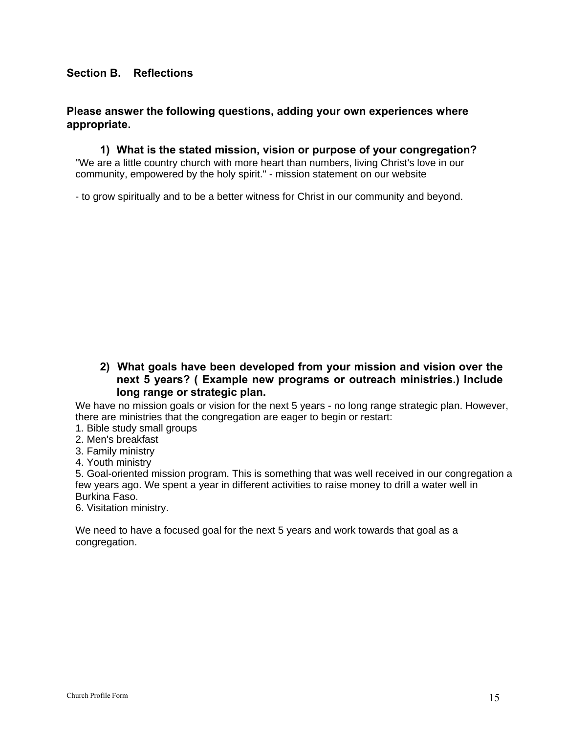## **Section B. Reflections**

#### **Please answer the following questions, adding your own experiences where appropriate.**

**1) What is the stated mission, vision or purpose of your congregation?** "We are a little country church with more heart than numbers, living Christ's love in our community, empowered by the holy spirit." - mission statement on our website

- to grow spiritually and to be a better witness for Christ in our community and beyond.

**2) What goals have been developed from your mission and vision over the next 5 years? ( Example new programs or outreach ministries.) Include long range or strategic plan.**

We have no mission goals or vision for the next 5 years - no long range strategic plan. However, there are ministries that the congregation are eager to begin or restart:

- 1. Bible study small groups
- 2. Men's breakfast
- 3. Family ministry
- 4. Youth ministry

5. Goal-oriented mission program. This is something that was well received in our congregation a few years ago. We spent a year in different activities to raise money to drill a water well in Burkina Faso.

6. Visitation ministry.

We need to have a focused goal for the next 5 years and work towards that goal as a congregation.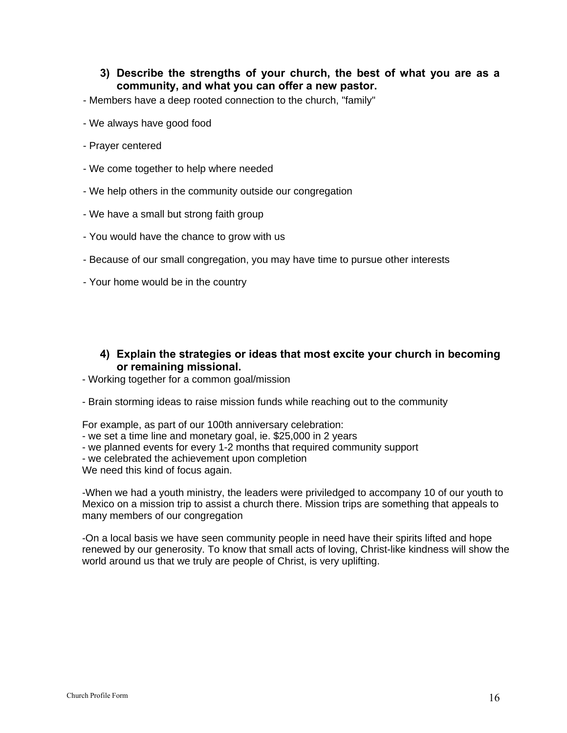#### **3) Describe the strengths of your church, the best of what you are as a community, and what you can offer a new pastor.**

- Members have a deep rooted connection to the church, "family"
- We always have good food
- Prayer centered
- We come together to help where needed
- We help others in the community outside our congregation
- We have a small but strong faith group
- You would have the chance to grow with us
- Because of our small congregation, you may have time to pursue other interests
- Your home would be in the country

#### **4) Explain the strategies or ideas that most excite your church in becoming or remaining missional.**

- Working together for a common goal/mission
- Brain storming ideas to raise mission funds while reaching out to the community

For example, as part of our 100th anniversary celebration:

- we set a time line and monetary goal, ie. \$25,000 in 2 years
- we planned events for every 1-2 months that required community support
- we celebrated the achievement upon completion

We need this kind of focus again.

-When we had a youth ministry, the leaders were priviledged to accompany 10 of our youth to Mexico on a mission trip to assist a church there. Mission trips are something that appeals to many members of our congregation

-On a local basis we have seen community people in need have their spirits lifted and hope renewed by our generosity. To know that small acts of loving, Christ-like kindness will show the world around us that we truly are people of Christ, is very uplifting.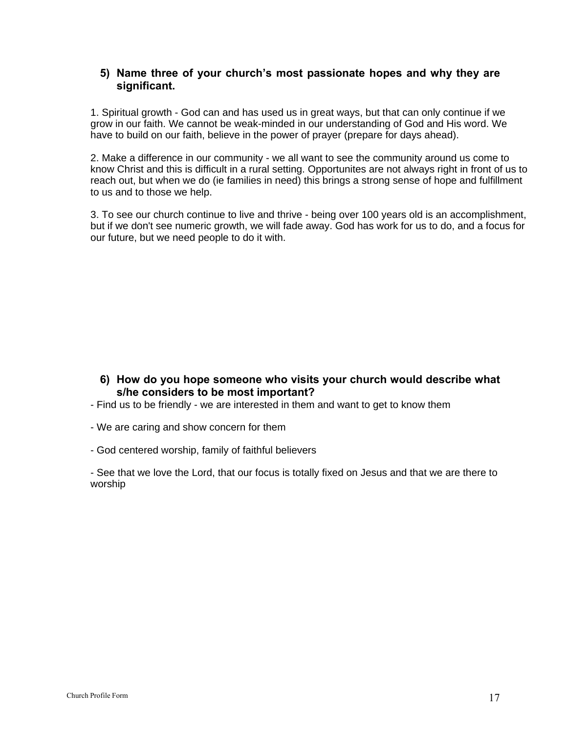### **5) Name three of your church's most passionate hopes and why they are significant.**

1. Spiritual growth - God can and has used us in great ways, but that can only continue if we grow in our faith. We cannot be weak-minded in our understanding of God and His word. We have to build on our faith, believe in the power of prayer (prepare for days ahead).

2. Make a difference in our community - we all want to see the community around us come to know Christ and this is difficult in a rural setting. Opportunites are not always right in front of us to reach out, but when we do (ie families in need) this brings a strong sense of hope and fulfillment to us and to those we help.

3. To see our church continue to live and thrive - being over 100 years old is an accomplishment, but if we don't see numeric growth, we will fade away. God has work for us to do, and a focus for our future, but we need people to do it with.

### **6) How do you hope someone who visits your church would describe what s/he considers to be most important?**

- Find us to be friendly we are interested in them and want to get to know them
- We are caring and show concern for them
- God centered worship, family of faithful believers

- See that we love the Lord, that our focus is totally fixed on Jesus and that we are there to worship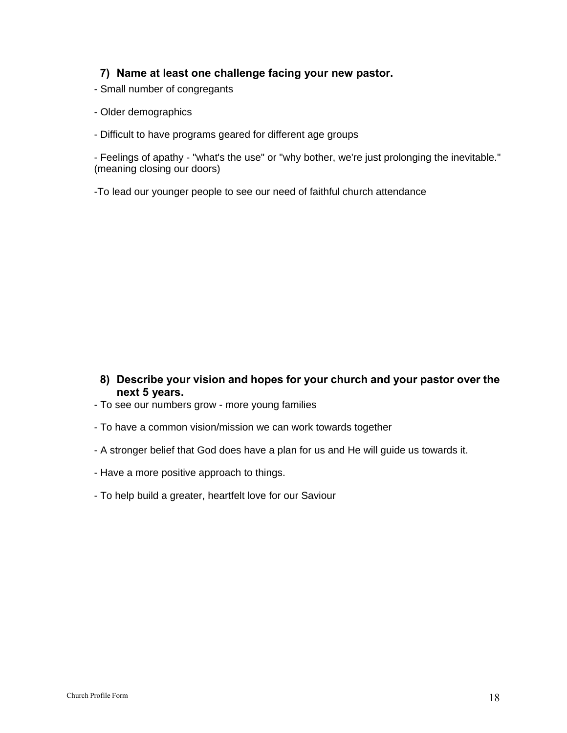### **7) Name at least one challenge facing your new pastor.**

- Small number of congregants
- Older demographics
- Difficult to have programs geared for different age groups

- Feelings of apathy - "what's the use" or "why bother, we're just prolonging the inevitable." (meaning closing our doors)

-To lead our younger people to see our need of faithful church attendance

- **8) Describe your vision and hopes for your church and your pastor over the next 5 years.**
- To see our numbers grow more young families
- To have a common vision/mission we can work towards together
- A stronger belief that God does have a plan for us and He will guide us towards it.
- Have a more positive approach to things.
- To help build a greater, heartfelt love for our Saviour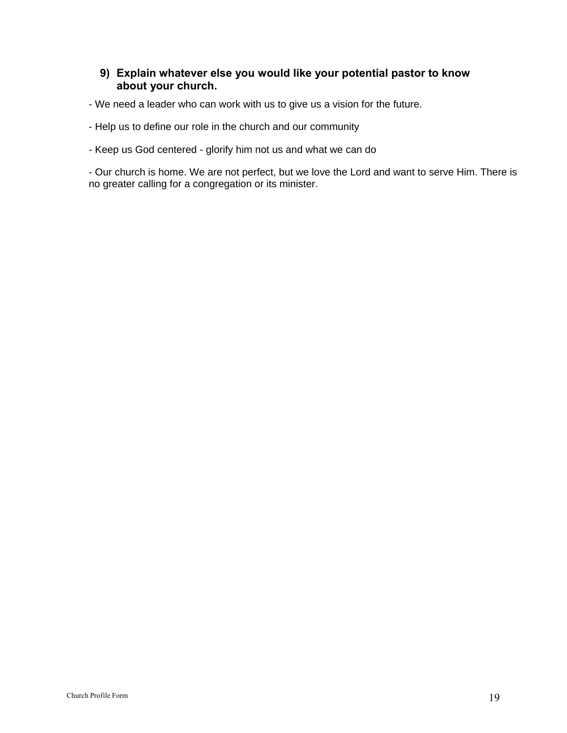## **9) Explain whatever else you would like your potential pastor to know about your church.**

- We need a leader who can work with us to give us a vision for the future.

- Help us to define our role in the church and our community

- Keep us God centered - glorify him not us and what we can do

- Our church is home. We are not perfect, but we love the Lord and want to serve Him. There is no greater calling for a congregation or its minister.